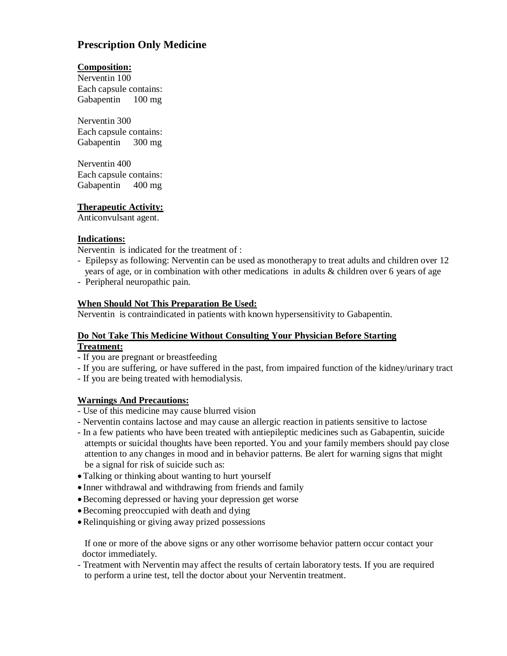# **Prescription Only Medicine**

## **Composition:**

Nerventin 100 Each capsule contains: Gabapentin 100 mg

Nerventin 300 Each capsule contains: Gabapentin 300 mg

Nerventin 400 Each capsule contains: Gabapentin 400 mg

**Therapeutic Activity:**

Anticonvulsant agent.

### **Indications:**

Nerventin is indicated for the treatment of :

- Epilepsy as following: Nerventin can be used as monotherapy to treat adults and children over 12 years of age, or in combination with other medications in adults & children over 6 years of age
- Peripheral neuropathic pain.

### **When Should Not This Preparation Be Used:**

Nerventin is contraindicated in patients with known hypersensitivity to Gabapentin.

### **Do Not Take This Medicine Without Consulting Your Physician Before Starting Treatment:**

- If you are pregnant or breastfeeding
- If you are suffering, or have suffered in the past, from impaired function of the kidney/urinary tract
- If you are being treated with hemodialysis.

# **Warnings And Precautions:**

- Use of this medicine may cause blurred vision
- Nerventin contains lactose and may cause an allergic reaction in patients sensitive to lactose
- In a few patients who have been treated with antiepileptic medicines such as Gabapentin, suicide attempts or suicidal thoughts have been reported. You and your family members should pay close attention to any changes in mood and in behavior patterns. Be alert for warning signs that might be a signal for risk of suicide such as:
- Talking or thinking about wanting to hurt yourself
- Inner withdrawal and withdrawing from friends and family
- Becoming depressed or having your depression get worse
- Becoming preoccupied with death and dying
- Relinquishing or giving away prized possessions

 If one or more of the above signs or any other worrisome behavior pattern occur contact your doctor immediately.

- Treatment with Nerventin may affect the results of certain laboratory tests. If you are required to perform a urine test, tell the doctor about your Nerventin treatment.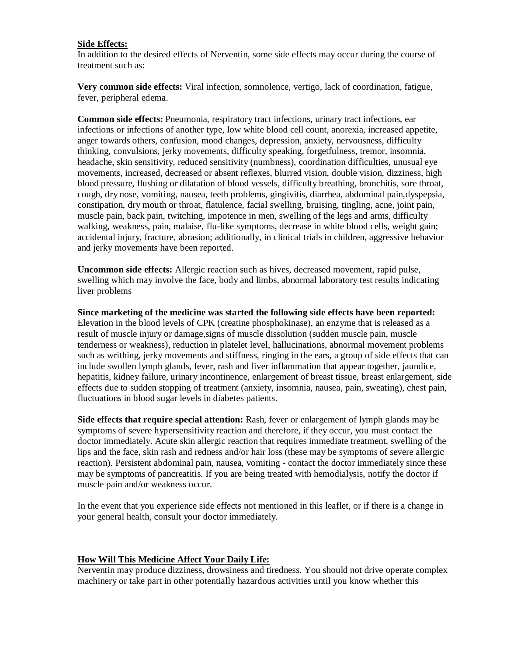#### **Side Effects:**

In addition to the desired effects of Nerventin, some side effects may occur during the course of treatment such as:

**Very common side effects:** Viral infection, somnolence, vertigo, lack of coordination, fatigue, fever, peripheral edema.

**Common side effects:** Pneumonia, respiratory tract infections, urinary tract infections, ear infections or infections of another type, low white blood cell count, anorexia, increased appetite, anger towards others, confusion, mood changes, depression, anxiety, nervousness, difficulty thinking, convulsions, jerky movements, difficulty speaking, forgetfulness, tremor, insomnia, headache, skin sensitivity, reduced sensitivity (numbness), coordination difficulties, unusual eye movements, increased, decreased or absent reflexes, blurred vision, double vision, dizziness, high blood pressure, flushing or dilatation of blood vessels, difficulty breathing, bronchitis, sore throat, cough, dry nose, vomiting, nausea, teeth problems, gingivitis, diarrhea, abdominal pain,dyspepsia, constipation, dry mouth or throat, flatulence, facial swelling, bruising, tingling, acne, joint pain, muscle pain, back pain, twitching, impotence in men, swelling of the legs and arms, difficulty walking, weakness, pain, malaise, flu-like symptoms, decrease in white blood cells, weight gain; accidental injury, fracture, abrasion; additionally, in clinical trials in children, aggressive behavior and jerky movements have been reported.

**Uncommon side effects:** Allergic reaction such as hives, decreased movement, rapid pulse, swelling which may involve the face, body and limbs, abnormal laboratory test results indicating liver problems

**Since marketing of the medicine was started the following side effects have been reported:** Elevation in the blood levels of CPK (creatine phosphokinase), an enzyme that is released as a result of muscle injury or damage,signs of muscle dissolution (sudden muscle pain, muscle tenderness or weakness), reduction in platelet level, hallucinations, abnormal movement problems such as writhing, jerky movements and stiffness, ringing in the ears, a group of side effects that can include swollen lymph glands, fever, rash and liver inflammation that appear together, jaundice, hepatitis, kidney failure, urinary incontinence, enlargement of breast tissue, breast enlargement, side effects due to sudden stopping of treatment (anxiety, insomnia, nausea, pain, sweating), chest pain, fluctuations in blood sugar levels in diabetes patients.

**Side effects that require special attention:** Rash, fever or enlargement of lymph glands may be symptoms of severe hypersensitivity reaction and therefore, if they occur, you must contact the doctor immediately. Acute skin allergic reaction that requires immediate treatment, swelling of the lips and the face, skin rash and redness and/or hair loss (these may be symptoms of severe allergic reaction). Persistent abdominal pain, nausea, vomiting - contact the doctor immediately since these may be symptoms of pancreatitis. If you are being treated with hemodialysis, notify the doctor if muscle pain and/or weakness occur.

In the event that you experience side effects not mentioned in this leaflet, or if there is a change in your general health, consult your doctor immediately.

#### **How Will This Medicine Affect Your Daily Life:**

Nerventin may produce dizziness, drowsiness and tiredness. You should not drive operate complex machinery or take part in other potentially hazardous activities until you know whether this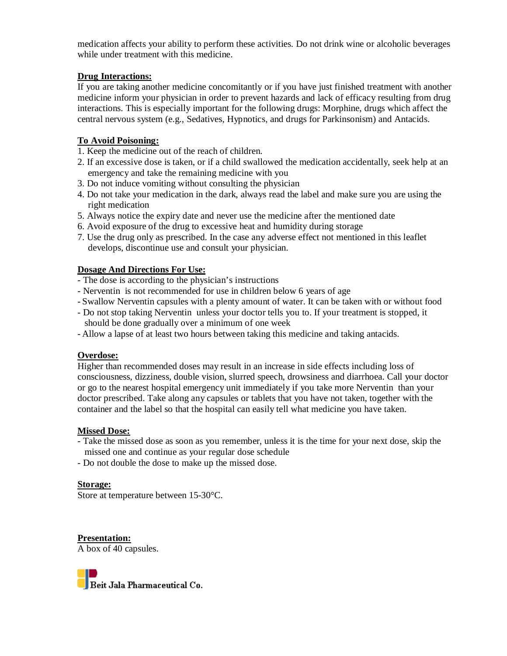medication affects your ability to perform these activities. Do not drink wine or alcoholic beverages while under treatment with this medicine.

## **Drug Interactions:**

If you are taking another medicine concomitantly or if you have just finished treatment with another medicine inform your physician in order to prevent hazards and lack of efficacy resulting from drug interactions. This is especially important for the following drugs: Morphine, drugs which affect the central nervous system (e.g., Sedatives, Hypnotics, and drugs for Parkinsonism) and Antacids.

## **To Avoid Poisoning:**

- 1. Keep the medicine out of the reach of children.
- 2. If an excessive dose is taken, or if a child swallowed the medication accidentally, seek help at an emergency and take the remaining medicine with you
- 3. Do not induce vomiting without consulting the physician
- 4. Do not take your medication in the dark, always read the label and make sure you are using the right medication
- 5. Always notice the expiry date and never use the medicine after the mentioned date
- 6. Avoid exposure of the drug to excessive heat and humidity during storage
- 7. Use the drug only as prescribed. In the case any adverse effect not mentioned in this leaflet develops, discontinue use and consult your physician.

### **Dosage And Directions For Use:**

- The dose is according to the physician's instructions
- Nerventin is not recommended for use in children below 6 years of age
- Swallow Nerventin capsules with a plenty amount of water. It can be taken with or without food
- Do not stop taking Nerventin unless your doctor tells you to. If your treatment is stopped, it should be done gradually over a minimum of one week
- Allow a lapse of at least two hours between taking this medicine and taking antacids.

# **Overdose:**

Higher than recommended doses may result in an increase in side effects including loss of consciousness, dizziness, double vision, slurred speech, drowsiness and diarrhoea. Call your doctor or go to the nearest hospital emergency unit immediately if you take more Nerventin than your doctor prescribed. Take along any capsules or tablets that you have not taken, together with the container and the label so that the hospital can easily tell what medicine you have taken.

#### **Missed Dose:**

- Take the missed dose as soon as you remember, unless it is the time for your next dose, skip the missed one and continue as your regular dose schedule
- Do not double the dose to make up the missed dose.

#### **Storage:**

Store at temperature between 15-30°C.

**Presentation:** A box of 40 capsules.

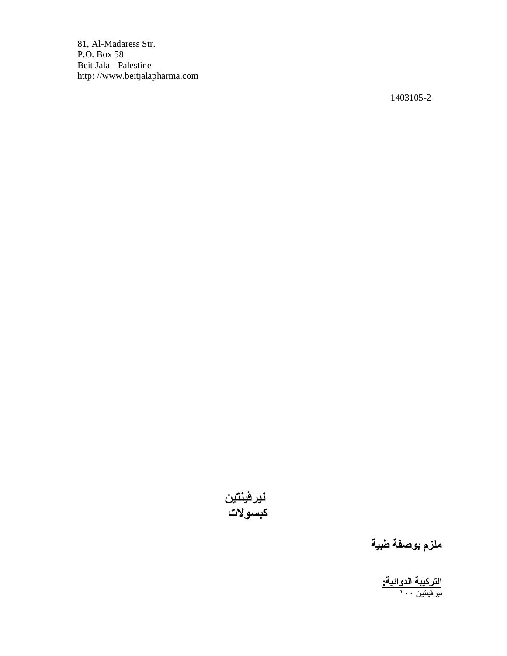81, Al-Madaress Str. P.O. Box 58 Beit Jala - Palestine http: //www.beitjalapharma.com

1403105-2



**ملزم بوصفة طبیة**

**التركیبة الدوائیة:**  نیرڤینتین ١٠٠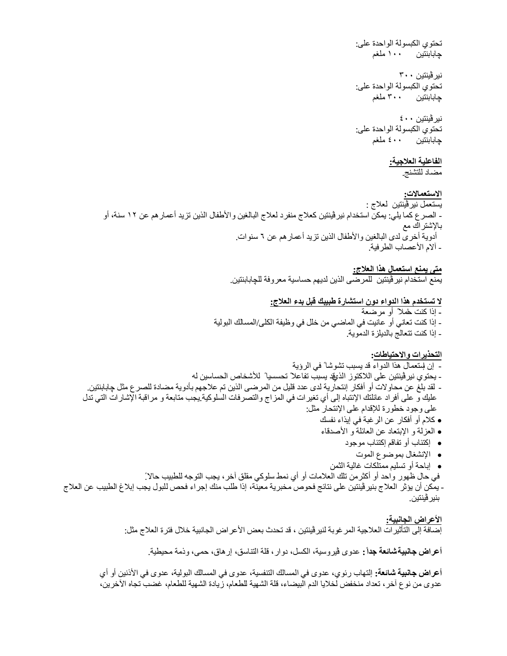تحتوي الكبسولة الواحدة على: چابابنتین ١٠٠ ملغم

نیرڤینتین ٣٠٠ تحتوي الكبسولة الواحدة على: چابابنتین ٣٠٠ ملغم

نیرڤینتین ٤٠٠ تحتوي الكبسولة الواحدة على: چابابنتین ٤٠٠ ملغم

**الفاعلیة العلاجیة:** 

مضاد للتشنج.

**الاستعمالات:**  یستعمل نیرڤینتین لعلاج : - الصرع كما یلي: یمكن استخدام نیرڤینتین كعلاج منفرد لعلاج البالغین والأطفال الذین تزید أعمارھم عن ١٢ سنة، أو بالإشتراك مع أدویة أخرى لدى البالغین والأطفال الذین تزید أعمارھم عن ٦ سنوات. - آلام الأعصاب الطرفیة.

> **متى یمنع استعمال ھذا العلاج:** یمنع استخدام نیرڤینتین للمرضى الذین لدیھم حساسیة معروفة للچابابنتین.

> > **لا تستخدم ھذا الدواء دون استشارة طبیبك قبل بدء العلاج:**

**-** إذا كنت حاملا ً أو مرضعة - إذا كنت تعاني أو عانیت في الماضي من خلل في وظیفة الكلى/المسالك البولیة

- إذا كنت تتعالج بالدیلزة الدمویة.

**التحذیرات والاحتیاطات:**

- إن إستعمال ھذا الدواء قد یسبب تشوشا ً في الرؤیة - یحتوي نیر ڤینتین علی اللاكتوز الذيقد یسبب تفاعلاً تحسسیا ً للأشخاص الحساسین له - لقد بلغ عن محاولات أو أفكار إنتحاریة لدى عدد قلیل من المرضى الذین تم علاجھم بأدویة مضادة للصرع مثل چابابنتین. علیك و على أفراد عائلتك الإنتباه إلى أي تغیرات في المزاج والتصرفات السلوكیة.یجب متابعة و مراقبة الإشارات التي تدل على وجود خطورة للإقدام على الإنتحار مثل: كلام أو أفكار عن الرغبة في إیذاء نفسك العزلة و الإبتعاد عن العائلة و الأصدقاء إكتئاب أو تفاقم إكتئاب موجود الإنشغال بموضوع الموت

إباحة أو تسلیم ممتلكات غالیة الثمن

في حال ظھور واحد أو أكثرمن تلك العلامات أو أي نمط سلوكي مقلق آخر، یجب التوجھ للطبیب حالاً. - یمكن أن یؤثر العلاج بنیرڤینتین على نتائج فحوص مخبریة معینة، إذا طلب منك إجراء فحص للبول یجب إبلاغ الطبیب عن العلاج بنیرڤینتین.

> **الأعراض الجانبیة:**  إضافة إلى التأثیرات العلاجیة المرغوبة لنیرڤینتین ، قد تحدث بعض الأعراض الجانبیة خلال فترة العلاج مثل:

**أعراض جانبیة شائعة جداً :** عدوى ڤیروسیة، الكسل، دوار، قلة التناسق، إرھاق، حمى، وذمة محیطیة.

**أعراض جانبیة شائعة:** إلتھاب رئوي، عدوى في المسالك التنفسیة، عدوى في المسالك البولیة، عدوى في الأذنین أو أي عدوى من نوع آخر، تعداد منخفض لخلایا الدم البیضاء، قلة الشھیة للطعام، زیادة الشھیة للطعام، غضب تجاه الآخرین،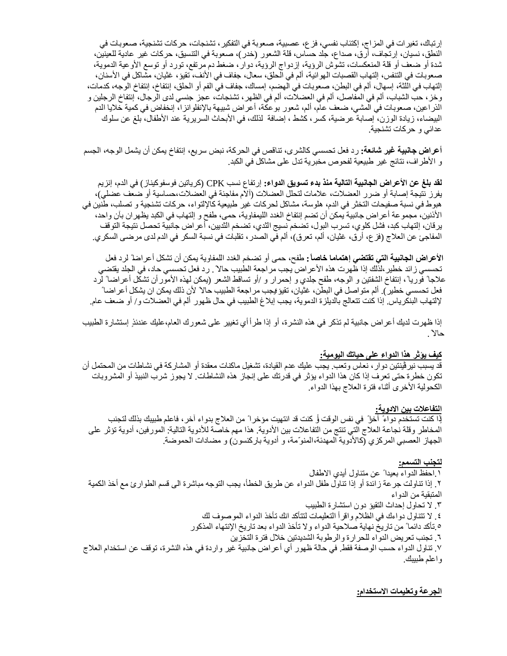إرتباك، تغیرات في المزاج، إكتئاب نفسي، فزع، عصبیة، صعوبة في التفكیر، تشنجات، حركات تشنجیة، صعوبات في النطق، نسیان، إرتجاف، أرق، صداع، جلد حساس، قلة الشعور (خدر)، صعوبة في التنسیق، حركات غیر عادیة للعینین، شدة أو ضعف أو قلة المنعكسات، تشوش الرؤیة، إزدواج الرؤیة، دوار، ضغط دم مرتفع، تورد أو توسع الأوعیة الدمویة، صعوبات في التنفس، إلتھاب القصبات الھوائیة، ألم في الحلق، سعال، جفاف في الأنف، تقیؤ، غثیان، مشاكل في الأسنان، إلتھاب في اللثة، إسھال، ألم في البطن، صعوبات في الھضم، إمساك، جفاف في الفم أو الحلق، إنتفاخ، إنتفاخ الوجھ، كدمات، وخز، حب الشباب، ألم في المفاصل، ألم في العضلات، ألم في الظھر، تشنجات، عجز جنسي لدى الرجال، إنتفاخ الرجلین و الذراعین، صعوبات في المشي، ضعف عام، ألم، شعور بوعكة، أعراض شبیھة بالإنفلوانزا، إنخفاض في كمیة خلایا الدم البیضاء، زیادة الوزن، إصابة عرضیة، كسر، كشط ، إضافة لذلك، في الأبحاث السریریة عند الأطفال، بلغ عن سلوك عدائي و حركات تشنجیة.

**أعراض جانبیة غیر شائعة:** رد فعل تحسسي كالشرى، تناقص في الحركة، نبض سریع، إنتفاخ یمكن أن یشمل الوجھ، الجسم و الأطراف، نتائج غیر طبیعیة لفحوص مخبریة تدل على مشاكل في الكبد.

**لقد بلغ عن الأعراض الجانبیة التالیة منذ بدء تسویق الدواء:** إرتفاع نسب CPK) كریاتین فوسفوكیناز) في الدم، إنزیم یفرز نتیجة إصابة أو ضرر العضلات، علامات لتحلل العضلات (آلام مفاجئة في العضلات،حساسیة أو ضعف عضلي)، ھبوط في نسبة صفیحات التخثر في الدم، ھلوسة، مشاكل لحركات غیر طبیعیة كالإلتواء، حركات تشنجیة و تصلب، طنین في الأذنین، مجموعة أعراض جانبیة یمكن أن تضم إنتفاخ الغدد اللیمفاویة، حمى، طفح و إلتھاب في الكبد یظھران بآن واحد، یرقان، إلتھاب كبد، فشل كلوي، تسرب البول، تضخم نسیج الثدي، تضخم الثدیین، أعراض جانبیة تحصل نتیجة التوقف المفاجئ عن العلاج (فزع، أرق، غثیان، ألم، تعرق)، ألم في الصدر، تقلبات في نسبة السكر في الدم لدى مرضى السكري.

**الأعراض الجانبیة التي تقتضي إھتماما خاصاً :** طفح، حمى أو تضخم الغدد اللمفاویة یمكن أن تشكل أعراضا ً لرد فعل تحسسي زائد خطیر،لذلك إذا ظھرت ھذه الأعراض یجب مراجعة الطبیب حالا ً . رد فعل تحسسي حاد، في الجلد یقتضي علاجا ً فوریا ،ً إنتفاخ الشفتین و الوجھ، طفح جلدي و إحمرار و /أو تساقط الشعر (یمكن لھذه الأمورأن تشكل أعراضا ً لرد فعل تحسسي خطیر). ألم متواصل في البطن، غثیان، تقیؤ؛ یجب مراجعة الطبیب حالا ً لأن ذلك یمكن ان یشكل أعراضا ً لإلتھاب البنكریاس. إذا كنت تتعالج بالدیلزة الدمویة، یجب إبلاغ الطبیب في حال ظھور ألم في العضلات و/ أو ضعف عام.

إذا ظھرت لدیك أعراض جانبیة لم تذكر في ھذه النشرة، أو إذا طرأ أي تغییر على شعورك العام،علیك عندئذٍ إستشارة الطبیب حالاً .

#### **كیف یؤثر ھذا الدواء على حیاتك الیومیة:**

قد یسبب نیرڤینتین دوار، نعاس وتعب. یجب علیك عدم القیادة، تشغیل ماكنات معقدة أو المشاركة في نشاطات من المحتمل أن تكون خطرة حتى تعرف إذا كان ھذا الدواء یؤثر في قدرتك على إنجاز ھذه النشاطات. لا یجوز شرب النبیذ أو المشروبات الكحولیة الأخرى أثناء فترة العلاج بھذا الدواء.

#### **التفاعلات بین الادویة:**

ٳذا كنت تستخدم دواءً آخرا ً في نفس الوقت أو كنت قد انتھیت مؤخرا ً من العلاج بدواء آخر، فاعلم طبیبك بذلك لتجنب المخاطر وقلة نجاعة العلاج التي تنتج من التفاعلات بین الأدویة. ھذا مھم خاصة للأدویة التالیة: المورفین، أدویة تؤثر على الجھاز العصبي المركزي (كالأدویة المھدئة،المنوّ مة، و أدویة باركنسون) و مضادات الحموضة.

#### **لتجنب التسمم:**

.١ احفظ الدواء بعیدا ً عن متناول أیدي الاطفال .٢ ٳذا تناولت جرعة زائدة أو ٳذا تناول طفل الدواء عن طریق الخطأ، یجب التوجھ مباشرة الى قسم الطوارئ مع أخذ الكمیة المتبقیة من الدواء .٣ لا تحاول إحداث التقیؤ دون استشارة الطبیب .٤ لا تتناول دواءك في الظلام واقرأ التعلیمات لتتأكد انك تأخذ الدواء الموصوف لك .٥ تأكد دائما ً من تاریخ نھایة صلاحیة الدواء ولا تأخذ الدواء بعد تاریخ اٺنتھاء المذكور .٦ تجنب تعریض الدواء للحرارة والرطوبة الشدیدتین خلال فترة التخزین .٧ تناول الدواء حسب الوصفة فقط. في حالة ظھور أي أعراض جانبیة غیر واردة في ھذه النشرة، توقف عن استخدام العلاج واعلم طبیبك.

#### **الجرعة وتعلیمات الاستخدام:**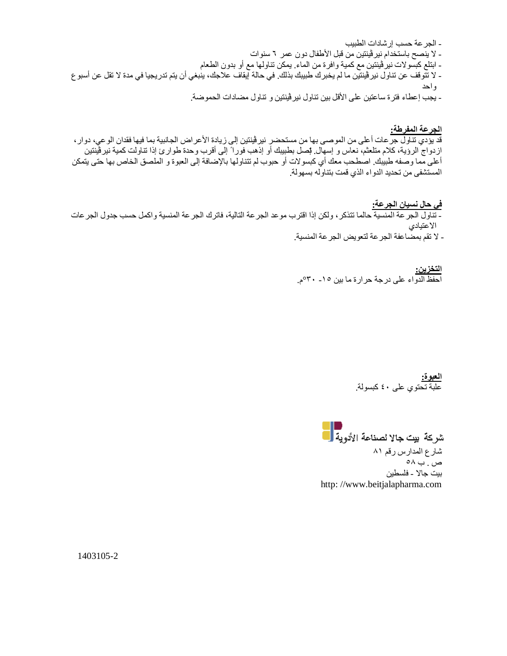- الجرعة حسب إرشادات الطبیب - لا ینصح باستخدام نیرڤینتین من قبل الأطفال دون عمر ٦ سنوات - ابتلع كبسولات نیرڤینتین مع كمیة وافرة من الماء. یمكن تناولھا مع أو بدون الطعام - لا تتوقف عن تناول نیرڤینتین ما لم یخبرك طبیبك بذلك. في حالة إیقاف علاجك، ینبغي أن یتم تدریجیا في مدة لا تقل عن أسبوع واحد - یجب إعطاء فترة ساعتین على الأقل بین تناول نیرڤینتین و تناول مضادات الحموضة.

**الجرعة المفرطة:**  قد یؤدي تناول جرعات أعلى من الموصى بھا من مستحضر نیرڤینتین إلى زیادة الأعراض الجانبیة بما فیھا فقدان الوعي، دوار، ازدواج الرؤیة، كلام متلعثم، نعاس و إسھال. إتصل بطبیبك أو إذھب فورا ً إلى أقرب وحدة طوارئ إذا تناولت كمیة نیرڤینتین أعلى مما وصفھ طبیبك. اصطحب معك أي كبسولات أو حبوب لم تتناولھا بالإضافة إلى العبوة و الملصق الخاص بھا حتى یتمكن المستشفى من تحدید الدواء الذي قمت بتناولھ بسھولة.

**في حال نسیان الجرعة:**  - تناول الجرعة المنسیة حالما تتذكر، ولكن إذا اقترب موعد الجرعة التالیة، فاترك الجرعة المنسیة واكمل حسب جدول الجرعات الاعتیادي - لا تقم بمضاعفة الجرعة لتعویض الجرعة المنسیة.

> **التخزین:**  احفظ الدواء على درجة حرارة ما بین -١٥ °٣٠م.

> > **العبوة:**  علبة تحتوي على ٤٠ كبسولة.

شركة بيت جالا لصناعة الأدوية <mark>.</mark> شارع المدارس رقم ٨١ ص . ب ٥٨ بیت جالا - فلسطین http: //www.beitjalapharma.com

1403105-2